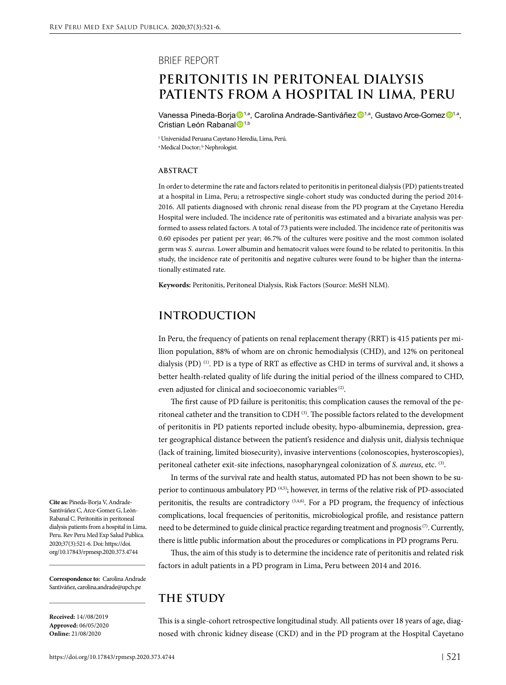### BRIEF REPORT

# **PERITONITIS IN PERITONEAL DIALYSIS PATIENTS FROM A HOSPITAL IN LIMA, PERU**

Vanessa Pineda-Borja <sup>1,a</sup>, Carolina Andrade-Santiváñez <sup>n<sub>1,a,</sub> Gustavo Arce-Gomez D<sub>1,a</sub></sup> Cristian León Rabanal <sup>1,b</sup>

1 Universidad Peruana Cayetano Heredia, Lima, Perú. <sup>a</sup> Medical Doctor; <sup>b</sup> Nephrologist.

#### **ABSTRACT**

In order to determine the rate and factors related to peritonitis in peritoneal dialysis (PD) patients treated at a hospital in Lima, Peru; a retrospective single-cohort study was conducted during the period 2014- 2016. All patients diagnosed with chronic renal disease from the PD program at the Cayetano Heredia Hospital were included. The incidence rate of peritonitis was estimated and a bivariate analysis was performed to assess related factors. A total of 73 patients were included. The incidence rate of peritonitis was 0.60 episodes per patient per year; 46.7% of the cultures were positive and the most common isolated germ was *S. aureus.* Lower albumin and hematocrit values were found to be related to peritonitis. In this study, the incidence rate of peritonitis and negative cultures were found to be higher than the internationally estimated rate.

**Keywords:** Peritonitis, Peritoneal Dialysis, Risk Factors (Source: MeSH NLM).

# **INTRODUCTION**

In Peru, the frequency of patients on renal replacement therapy (RRT) is 415 patients per million population, 88% of whom are on chronic hemodialysis (CHD), and 12% on peritoneal dialysis (PD) (1). PD is a type of RRT as effective as CHD in terms of survival and, it shows a better health-related quality of life during the initial period of the illness compared to CHD, even adjusted for clinical and socioeconomic variables<sup>(2)</sup>.

The first cause of PD failure is peritonitis; this complication causes the removal of the peritoneal catheter and the transition to CDH<sup>(3)</sup>. The possible factors related to the development of peritonitis in PD patients reported include obesity, hypo-albuminemia, depression, greater geographical distance between the patient's residence and dialysis unit, dialysis technique (lack of training, limited biosecurity), invasive interventions (colonoscopies, hysteroscopies), peritoneal catheter exit-site infections, nasopharyngeal colonization of *S. aureus,* etc. (3).

In terms of the survival rate and health status, automated PD has not been shown to be superior to continuous ambulatory PD<sup>(4,5)</sup>; however, in terms of the relative risk of PD-associated peritonitis, the results are contradictory  $(3,4,6)$ . For a PD program, the frequency of infectious complications, local frequencies of peritonitis, microbiological profile, and resistance pattern need to be determined to guide clinical practice regarding treatment and prognosis<sup>(7)</sup>. Currently, there is little public information about the procedures or complications in PD programs Peru.

Thus, the aim of this study is to determine the incidence rate of peritonitis and related risk factors in adult patients in a PD program in Lima, Peru between 2014 and 2016.

**Correspondence to:** Carolina Andrade Santiváñez, carolina.andrade@upch.pe

\_\_\_\_\_\_\_\_\_\_\_\_\_\_\_\_\_\_\_\_\_\_\_\_\_\_\_\_\_\_\_\_\_

**Cite as:** Pineda-Borja V, Andrade-Santiváñez C, Arce-Gomez G, León-Rabanal C. Peritonitis in peritoneal dialysis patients from a hospital in Lima, Peru. Rev Peru Med Exp Salud Publica. 2020;37(3):521-6. Doi: https://doi. org/10.17843/rpmesp.2020.373.4744 \_\_\_\_\_\_\_\_\_\_\_\_\_\_\_\_\_\_\_\_\_\_\_\_\_\_\_\_\_\_\_\_\_

**Received:** 14//08/2019 **Approved:** 06/05/2020 **Online:** 21/08/2020

# **THE STUDY**

This is a single-cohort retrospective longitudinal study. All patients over 18 years of age, diagnosed with chronic kidney disease (CKD) and in the PD program at the Hospital Cayetano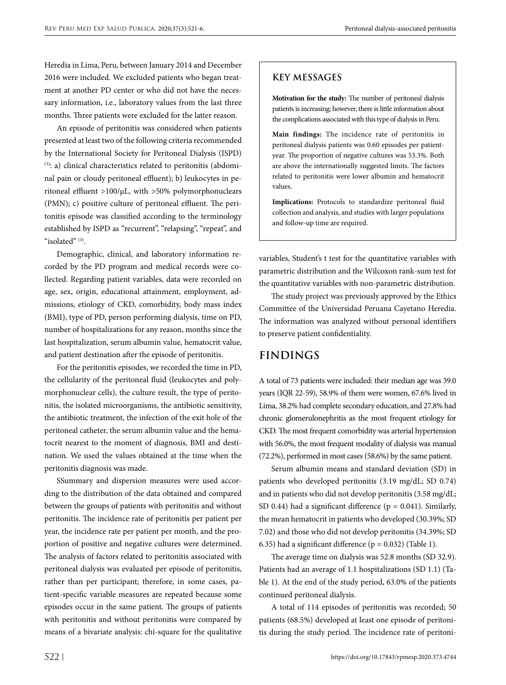Heredia in Lima, Peru, between January 2014 and December 2016 were included. We excluded patients who began treatment at another PD center or who did not have the necessary information, i.e., laboratory values from the last three months. Three patients were excluded for the latter reason.

An episode of peritonitis was considered when patients presented at least two of the following criteria recommended by the International Society for Peritoneal Dialysis (ISPD) (3): a) clinical characteristics related to peritonitis (abdominal pain or cloudy peritoneal effluent); b) leukocytes in peritoneal effluent >100/μL, with >50% polymorphonuclears (PMN); c) positive culture of peritoneal effluent. The peritonitis episode was classified according to the terminology established by ISPD as "recurrent", "relapsing", "repeat", and " $isolated"$ <sup>(3)</sup>

Demographic, clinical, and laboratory information recorded by the PD program and medical records were collected. Regarding patient variables, data were recorded on age, sex, origin, educational attainment, employment, admissions, etiology of CKD, comorbidity, body mass index (BMI), type of PD, person performing dialysis, time on PD, number of hospitalizations for any reason, months since the last hospitalization, serum albumin value, hematocrit value, and patient destination after the episode of peritonitis.

For the peritonitis episodes, we recorded the time in PD, the cellularity of the peritoneal fluid (leukocytes and polymorphonuclear cells), the culture result, the type of peritonitis, the isolated microorganisms, the antibiotic sensitivity, the antibiotic treatment, the infection of the exit hole of the peritoneal catheter, the serum albumin value and the hematocrit nearest to the moment of diagnosis, BMI and destination. We used the values obtained at the time when the peritonitis diagnosis was made.

SSummary and dispersion measures were used according to the distribution of the data obtained and compared between the groups of patients with peritonitis and without peritonitis. The incidence rate of peritonitis per patient per year, the incidence rate per patient per month, and the proportion of positive and negative cultures were determined. The analysis of factors related to peritonitis associated with peritoneal dialysis was evaluated per episode of peritonitis, rather than per participant; therefore, in some cases, patient-specific variable measures are repeated because some episodes occur in the same patient. The groups of patients with peritonitis and without peritonitis were compared by means of a bivariate analysis: chi-square for the qualitative

## **KEY MESSAGES**

**Motivation for the study:** The number of peritoneal dialysis patients is increasing; however, there is little information about the complications associated with this type of dialysis in Peru.

**Main findings:** The incidence rate of peritonitis in peritoneal dialysis patients was 0.60 episodes per patientyear. The proportion of negative cultures was 53.3%. Both are above the internationally suggested limits. The factors related to peritonitis were lower albumin and hematocrit values.

**Implications:** Protocols to standardize peritoneal fluid collection and analysis, and studies with larger populations and follow-up time are required.

variables, Student's t test for the quantitative variables with parametric distribution and the Wilcoxon rank-sum test for the quantitative variables with non-parametric distribution.

The study project was previously approved by the Ethics Committee of the Universidad Peruana Cayetano Heredia. The information was analyzed without personal identifiers to preserve patient confidentiality.

# **FINDINGS**

A total of 73 patients were included: their median age was 39.0 years (IQR 22-59), 58.9% of them were women, 67.6% lived in Lima, 38.2% had complete secondary education, and 27.8% had chronic glomerulonephritis as the most frequent etiology for CKD. The most frequent comorbidity was arterial hypertension with 56.0%, the most frequent modality of dialysis was manual (72.2%), performed in most cases (58.6%) by the same patient.

Serum albumin means and standard deviation (SD) in patients who developed peritonitis (3.19 mg/dL; SD 0.74) and in patients who did not develop peritonitis (3.58 mg/dL; SD 0.44) had a significant difference ( $p = 0.041$ ). Similarly, the mean hematocrit in patients who developed (30.39%; SD 7.02) and those who did not develop peritonitis (34.39%; SD 6.35) had a significant difference ( $p = 0.032$ ) (Table 1).

The average time on dialysis was 52.8 months (SD 32.9). Patients had an average of 1.1 hospitalizations (SD 1.1) (Table 1). At the end of the study period, 63.0% of the patients continued peritoneal dialysis.

A total of 114 episodes of peritonitis was recorded; 50 patients (68.5%) developed at least one episode of peritonitis during the study period. The incidence rate of peritoni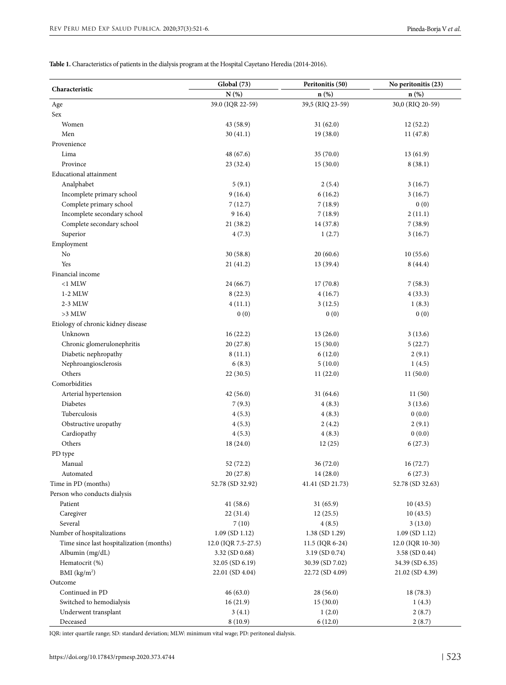**Table 1.** Characteristics of patients in the dialysis program at the Hospital Cayetano Heredia (2014-2016).

| Characteristic                           | <b>Global</b> (73)  | Peritonitis (50)  | No peritonitis (23) |
|------------------------------------------|---------------------|-------------------|---------------------|
|                                          | N(%)                | $n(\%)$           | $n$ (%)             |
| Age                                      | 39.0 (IQR 22-59)    | 39,5 (RIQ 23-59)  | 30,0 (RIQ 20-59)    |
| Sex                                      |                     |                   |                     |
| Women                                    | 43 (58.9)           | 31(62.0)          | 12(52.2)            |
| Men                                      | 30(41.1)            | 19(38.0)          | 11(47.8)            |
| Provenience                              |                     |                   |                     |
| Lima                                     | 48 (67.6)           | 35(70.0)          | 13(61.9)            |
| Province                                 | 23 (32.4)           | 15(30.0)          | 8(38.1)             |
| <b>Educational</b> attainment            |                     |                   |                     |
| Analphabet                               | 5(9.1)              | 2(5.4)            | 3(16.7)             |
| Incomplete primary school                | 9(16.4)             | 6(16.2)           | 3(16.7)             |
| Complete primary school                  | 7(12.7)             | 7(18.9)           | 0(0)                |
| Incomplete secondary school              | 9 1 6.4)            | 7(18.9)           | 2(11.1)             |
| Complete secondary school                | 21(38.2)            | 14 (37.8)         | 7(38.9)             |
| Superior                                 | 4(7.3)              | 1(2.7)            | 3(16.7)             |
| Employment                               |                     |                   |                     |
| No                                       | 30(58.8)            | 20(60.6)          | 10(55.6)            |
| Yes                                      | 21(41.2)            | 13 (39.4)         | 8(44.4)             |
| Financial income                         |                     |                   |                     |
| $<$ 1 MLW                                | 24(66.7)            | 17(70.8)          | 7(58.3)             |
| $1-2$ MLW                                | 8(22.3)             | 4(16.7)           | 4(33.3)             |
| 2-3 MLW                                  | 4(11.1)             | 3(12.5)           | 1(8.3)              |
| $>3$ MLW                                 | 0(0)                | 0(0)              | 0(0)                |
| Etiology of chronic kidney disease       |                     |                   |                     |
| Unknown                                  | 16(22.2)            | 13(26.0)          | 3(13.6)             |
| Chronic glomerulonephritis               | 20(27.8)            | 15(30.0)          | 5(22.7)             |
| Diabetic nephropathy                     | 8(11.1)             | 6(12.0)           | 2(9.1)              |
| Nephroangiosclerosis                     | 6(8.3)              | 5(10.0)           | 1(4.5)              |
| Others                                   | 22(30.5)            | 11(22.0)          | 11(50.0)            |
| Comorbidities                            |                     |                   |                     |
| Arterial hypertension                    | 42(56.0)            | 31(64.6)          | 11(50)              |
| Diabetes                                 | 7(9.3)              | 4(8.3)            | 3(13.6)             |
| Tuberculosis                             | 4(5.3)              | 4(8.3)            | 0(0.0)              |
| Obstructive uropathy                     | 4(5.3)              | 2(4.2)            | 2(9.1)              |
| Cardiopathy                              | 4(5.3)              | 4(8.3)            | 0(0.0)              |
| Others                                   | 18 (24.0)           | 12(25)            | 6(27.3)             |
| PD type                                  |                     |                   |                     |
| Manual                                   | 52 (72.2)           | 36 (72.0)         | 16(72.7)            |
| Automated                                | 20(27.8)            | 14 (28.0)         | 6(27.3)             |
| Time in PD (months)                      | 52.78 (SD 32.92)    | 41.41 (SD 21.73)  | 52.78 (SD 32.63)    |
| Person who conducts dialysis             |                     |                   |                     |
| Patient                                  | 41(58.6)            | 31(65.9)          | 10(43.5)            |
| Caregiver                                | 22 (31.4)           | 12(25.5)          | 10(43.5)            |
| Several                                  | 7(10)               | 4(8.5)            | 3(13.0)             |
| Number of hospitalizations               | $1.09$ (SD $1.12$ ) | 1.38 (SD 1.29)    | $1.09$ (SD $1.12$ ) |
| Time since last hospitalization (months) | 12.0 (IQR 7.5-27.5) | $11.5$ (IQR 6-24) | 12.0 (IQR 10-30)    |
| Albumin (mg/dL)                          | $3.32$ (SD 0.68)    | 3.19 (SD 0.74)    | 3.58 (SD 0.44)      |
| Hematocrit (%)                           | 32.05 (SD 6.19)     | 30.39 (SD 7.02)   | 34.39 (SD 6.35)     |
| BMI $(kg/m2)$                            | 22.01 (SD 4.04)     | 22.72 (SD 4.09)   | 21.02 (SD 4.39)     |
| Outcome                                  |                     |                   |                     |
| Continued in PD                          | 46(63.0)            | 28(56.0)          | 18 (78.3)           |
| Switched to hemodialysis                 | 16(21.9)            | 15(30.0)          | 1(4.3)              |
| Underwent transplant                     | 3(4.1)              | 1(2.0)            | 2(8.7)              |
| Deceased                                 | 8(10.9)             | 6(12.0)           | 2(8.7)              |

IQR: inter quartile range; SD: standard deviation; MLW: minimum vital wage; PD: peritoneal dialysis.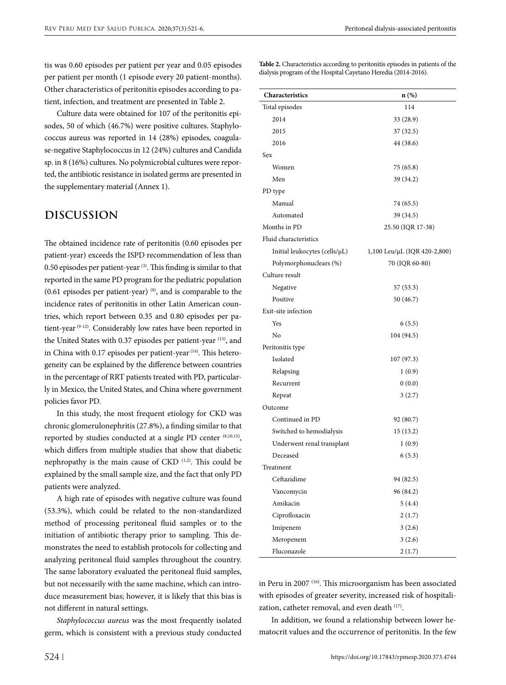tis was 0.60 episodes per patient per year and 0.05 episodes per patient per month (1 episode every 20 patient-months). Other characteristics of peritonitis episodes according to patient, infection, and treatment are presented in Table 2.

Culture data were obtained for 107 of the peritonitis episodes, 50 of which (46.7%) were positive cultures. Staphylococcus aureus was reported in 14 (28%) episodes, coagulase-negative Staphylococcus in 12 (24%) cultures and Candida sp. in 8 (16%) cultures. No polymicrobial cultures were reported, the antibiotic resistance in isolated germs are presented in the supplementary material (Annex 1).

# **DISCUSSION**

The obtained incidence rate of peritonitis (0.60 episodes per patient-year) exceeds the ISPD recommendation of less than 0.50 episodes per patient-year (3). This finding is similar to that reported in the same PD program for the pediatric population  $(0.61 \text{ episodes per patient-year})$ <sup>(8)</sup>, and is comparable to the incidence rates of peritonitis in other Latin American countries, which report between 0.35 and 0.80 episodes per patient-year (9-12). Considerably low rates have been reported in the United States with 0.37 episodes per patient-year (13), and in China with 0.17 episodes per patient-year <sup>(14)</sup>. This heterogeneity can be explained by the difference between countries in the percentage of RRT patients treated with PD, particularly in Mexico, the United States, and China where government policies favor PD.

In this study, the most frequent etiology for CKD was chronic glomerulonephritis (27.8%), a finding similar to that reported by studies conducted at a single PD center (8,10,15), which differs from multiple studies that show that diabetic nephropathy is the main cause of CKD (1,2). This could be explained by the small sample size, and the fact that only PD patients were analyzed.

A high rate of episodes with negative culture was found (53.3%), which could be related to the non-standardized method of processing peritoneal fluid samples or to the initiation of antibiotic therapy prior to sampling. This demonstrates the need to establish protocols for collecting and analyzing peritoneal fluid samples throughout the country. The same laboratory evaluated the peritoneal fluid samples, but not necessarily with the same machine, which can introduce measurement bias; however, it is likely that this bias is not different in natural settings.

*Staphylococcus aureus* was the most frequently isolated germ, which is consistent with a previous study conducted

**Table 2.** Characteristics according to peritonitis episodes in patients of the dialysis program of the Hospital Cayetano Heredia (2014-2016).

| Characteristics               | $n(\%)$                      |  |
|-------------------------------|------------------------------|--|
| Total episodes                | 114                          |  |
| 2014                          | 33 (28.9)                    |  |
| 2015                          | 37 (32.5)                    |  |
| 2016                          | 44 (38.6)                    |  |
| Sex                           |                              |  |
| Women                         | 75 (65.8)                    |  |
| Men                           | 39 (34.2)                    |  |
| PD type                       |                              |  |
| Manual                        | 74 (65.5)                    |  |
| Automated                     | 39 (34.5)                    |  |
| Months in PD                  | 25.50 (IQR 17-38)            |  |
| Fluid characteristics         |                              |  |
| Initial leukocytes (cells/µL) | 1,100 Leu/μL (IQR 420-2,800) |  |
| Polymorphonuclears (%)        | 70 (IQR 60-80)               |  |
| Culture result                |                              |  |
| Negative                      | 57 (53.3)                    |  |
| Positive                      | 50 (46.7)                    |  |
| Exit-site infection           |                              |  |
| Yes                           | 6(5.5)                       |  |
| No                            | 104 (94.5)                   |  |
| Peritonitis type              |                              |  |
| Isolated                      | 107 (97.3)                   |  |
| Relapsing                     | 1(0.9)                       |  |
| Recurrent                     | 0(0.0)                       |  |
| Repeat                        | 3(2.7)                       |  |
| Outcome                       |                              |  |
| Continued in PD               | 92 (80.7)                    |  |
| Switched to hemodialysis      | 15(13.2)                     |  |
| Underwent renal transplant    | 1(0.9)                       |  |
| Deceased                      | 6(5.3)                       |  |
| Treatment                     |                              |  |
| Ceftazidime                   | 94 (82.5)                    |  |
| Vancomycin                    | 96 (84.2)                    |  |
| Amikacin                      | 5(4.4)                       |  |
| Ciprofloxacin                 | 2(1.7)                       |  |
| Imipenem                      | 3(2.6)                       |  |
| Meropenem                     | 3(2.6)                       |  |
| Fluconazole                   | 2(1.7)                       |  |

in Peru in 2007 (16). This microorganism has been associated with episodes of greater severity, increased risk of hospitalization, catheter removal, and even death (17).

In addition, we found a relationship between lower hematocrit values and the occurrence of peritonitis. In the few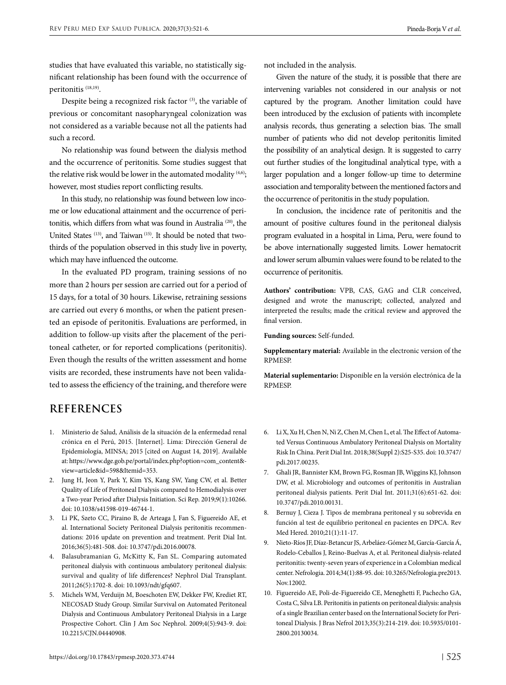studies that have evaluated this variable, no statistically significant relationship has been found with the occurrence of peritonitis (18,19).

Despite being a recognized risk factor<sup>(3)</sup>, the variable of previous or concomitant nasopharyngeal colonization was not considered as a variable because not all the patients had such a record.

No relationship was found between the dialysis method and the occurrence of peritonitis. Some studies suggest that the relative risk would be lower in the automated modality <sup>(4,6)</sup>; however, most studies report conflicting results.

In this study, no relationship was found between low income or low educational attainment and the occurrence of peritonitis, which differs from what was found in Australia (20), the United States (13), and Taiwan (15). It should be noted that twothirds of the population observed in this study live in poverty, which may have influenced the outcome.

In the evaluated PD program, training sessions of no more than 2 hours per session are carried out for a period of 15 days, for a total of 30 hours. Likewise, retraining sessions are carried out every 6 months, or when the patient presented an episode of peritonitis. Evaluations are performed, in addition to follow-up visits after the placement of the peritoneal catheter, or for reported complications (peritonitis). Even though the results of the written assessment and home visits are recorded, these instruments have not been validated to assess the efficiency of the training, and therefore were not included in the analysis.

Given the nature of the study, it is possible that there are intervening variables not considered in our analysis or not captured by the program. Another limitation could have been introduced by the exclusion of patients with incomplete analysis records, thus generating a selection bias. The small number of patients who did not develop peritonitis limited the possibility of an analytical design. It is suggested to carry out further studies of the longitudinal analytical type, with a larger population and a longer follow-up time to determine association and temporality between the mentioned factors and the occurrence of peritonitis in the study population.

In conclusion, the incidence rate of peritonitis and the amount of positive cultures found in the peritoneal dialysis program evaluated in a hospital in Lima, Peru, were found to be above internationally suggested limits. Lower hematocrit and lower serum albumin values were found to be related to the occurrence of peritonitis.

**Authors' contribution:** VPB, CAS, GAG and CLR conceived, designed and wrote the manuscript; collected, analyzed and interpreted the results; made the critical review and approved the final version.

**Funding sources:** Self-funded.

**Supplementary material:** Available in the electronic version of the RPMESP.

**Material suplementario:** [Disponible en la versión electrónica de la](https://rpmesp.ins.gob.pe/index.php/rpmesp/article/view/4744/3748) [RPMESP](https://rpmesp.ins.gob.pe/index.php/rpmesp/article/view/4744/3748).

# **REFERENCES**

- 1. Ministerio de Salud, Análisis de la situación de la enfermedad renal crónica en el Perú, 2015. [Internet]. Lima: Dirección General de Epidemiología, MINSA; 2015 [cited on August 14, 2019]. Available at: [https://www.dge.gob.pe/portal/index.php?option=com\\_content&](https://www.dge.gob.pe/portal/index.php?option=com_content&view=article&id=598&Itemid=353) [view=article&id=598&Itemid=353](https://www.dge.gob.pe/portal/index.php?option=com_content&view=article&id=598&Itemid=353).
- 2. Jung H, Jeon Y, Park Y, Kim YS, Kang SW, Yang CW, et al. Better Quality of Life of Peritoneal Dialysis compared to Hemodialysis over a Two-year Period after Dialysis Initiation. Sci Rep. 2019;9(1):10266. doi: 10.1038/s41598-019-46744-1.
- 3. Li PK, Szeto CC, Piraino B, de Arteaga J, Fan S, Figuereido AE, et al. International Society Peritoneal Dialysis peritonitis recommendations: 2016 update on prevention and treatment. Perit Dial Int. 2016;36(5):481-508. doi: 10.3747/pdi.2016.00078.
- 4. Balasubramanian G, McKitty K, Fan SL. Comparing automated peritoneal dialysis with continuous ambulatory peritoneal dialysis: survival and quality of life differences? Nephrol Dial Transplant. 2011;26(5):1702-8. doi: 10.1093/ndt/gfq607.
- 5. Michels WM, Verduijn M, Boeschoten EW, Dekker FW, Krediet RT, NECOSAD Study Group. Similar Survival on Automated Peritoneal Dialysis and Continuous Ambulatory Peritoneal Dialysis in a Large Prospective Cohort. Clin J Am Soc Nephrol. 2009;4(5):943-9. doi: 10.2215/CJN.04440908.
- 6. Li X, Xu H, Chen N, Ni Z, Chen M, Chen L, et al. The Effect of Automated Versus Continuous Ambulatory Peritoneal Dialysis on Mortality Risk In China. Perit Dial Int. 2018;38(Suppl 2):S25-S35. doi: 10.3747/ pdi.2017.00235.
- 7. Ghali JR, Bannister KM, Brown FG, Rosman JB, Wiggins KJ, Johnson DW, et al. Microbiology and outcomes of peritonitis in Australian peritoneal dialysis patients. Perit Dial Int. 2011;31(6):651-62. doi: 10.3747/pdi.2010.00131.
- 8. Bernuy J, Cieza J. Tipos de membrana peritoneal y su sobrevida en función al test de equilibrio peritoneal en pacientes en DPCA. Rev Med Hered. 2010;21(1):11-17.
- 9. Nieto-Ríos JF, Díaz-Betancur JS, Arbeláez-Gómez M, García-García Á, Rodelo-Ceballos J, Reino-Buelvas A, et al. Peritoneal dialysis-related peritonitis: twenty-seven years of experience in a Colombian medical center. Nefrologia. 2014;34(1):88-95. doi: 10.3265/Nefrologia.pre2013. Nov.12002.
- 10. Figuereido AE, Poli-de-Figuereido CE, Meneghetti F, Pachecho GA, Costa C, Silva LB. Peritonitis in patients on peritoneal dialysis: analysis of a single Brazilian center based on the International Society for Peritoneal Dialysis. J Bras Nefrol 2013;35(3):214-219. doi: 10.5935/0101- 2800.20130034.